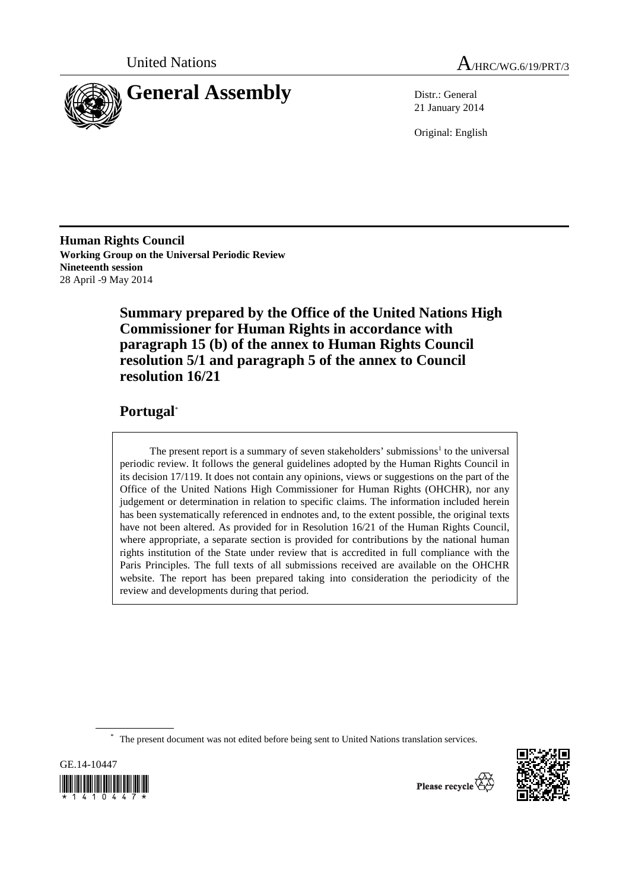



21 January 2014

Original: English

**Human Rights Council Working Group on the Universal Periodic Review Nineteenth session**  28 April -9 May 2014

> **Summary prepared by the Office of the United Nations High Commissioner for Human Rights in accordance with paragraph 15 (b) of the annex to Human Rights Council resolution 5/1 and paragraph 5 of the annex to Council resolution 16/21**

## **Portugal**\*

The present report is a summary of seven stakeholders' submissions<sup>1</sup> to the universal periodic review. It follows the general guidelines adopted by the Human Rights Council in its decision 17/119. It does not contain any opinions, views or suggestions on the part of the Office of the United Nations High Commissioner for Human Rights (OHCHR), nor any judgement or determination in relation to specific claims. The information included herein has been systematically referenced in endnotes and, to the extent possible, the original texts have not been altered. As provided for in Resolution 16/21 of the Human Rights Council, where appropriate, a separate section is provided for contributions by the national human rights institution of the State under review that is accredited in full compliance with the Paris Principles. The full texts of all submissions received are available on the OHCHR website. The report has been prepared taking into consideration the periodicity of the review and developments during that period.

\* The present document was not edited before being sent to United Nations translation services.





Please recycle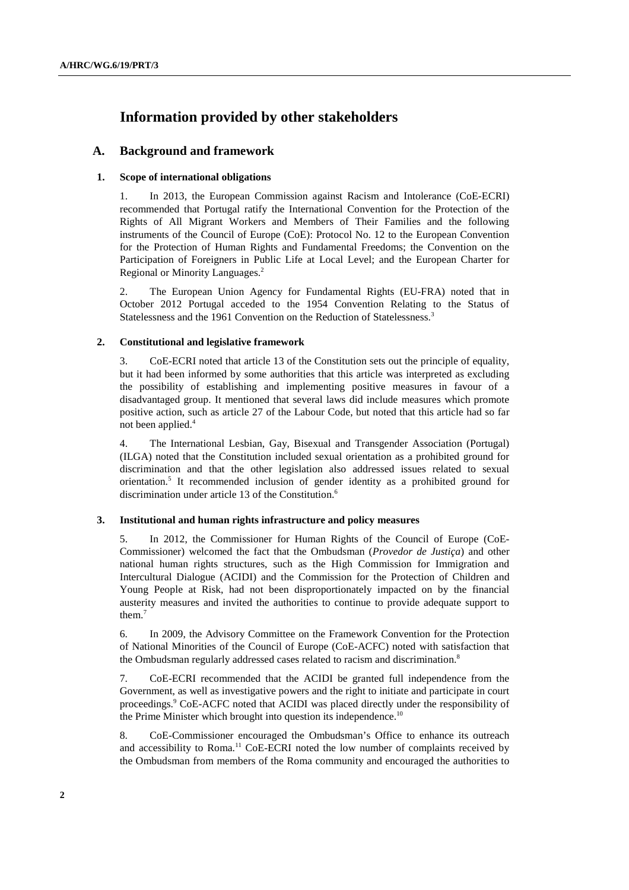# **Information provided by other stakeholders**

### **A. Background and framework**

#### **1. Scope of international obligations**

1. In 2013, the European Commission against Racism and Intolerance (CoE-ECRI) recommended that Portugal ratify the International Convention for the Protection of the Rights of All Migrant Workers and Members of Their Families and the following instruments of the Council of Europe (CoE): Protocol No. 12 to the European Convention for the Protection of Human Rights and Fundamental Freedoms; the Convention on the Participation of Foreigners in Public Life at Local Level; and the European Charter for Regional or Minority Languages.2

2. The European Union Agency for Fundamental Rights (EU-FRA) noted that in October 2012 Portugal acceded to the 1954 Convention Relating to the Status of Statelessness and the 1961 Convention on the Reduction of Statelessness.<sup>3</sup>

#### **2. Constitutional and legislative framework**

3. CoE-ECRI noted that article 13 of the Constitution sets out the principle of equality, but it had been informed by some authorities that this article was interpreted as excluding the possibility of establishing and implementing positive measures in favour of a disadvantaged group. It mentioned that several laws did include measures which promote positive action, such as article 27 of the Labour Code, but noted that this article had so far not been applied.<sup>4</sup>

4. The International Lesbian, Gay, Bisexual and Transgender Association (Portugal) (ILGA) noted that the Constitution included sexual orientation as a prohibited ground for discrimination and that the other legislation also addressed issues related to sexual orientation.<sup>5</sup> It recommended inclusion of gender identity as a prohibited ground for discrimination under article 13 of the Constitution.<sup>6</sup>

#### **3. Institutional and human rights infrastructure and policy measures**

5. In 2012, the Commissioner for Human Rights of the Council of Europe (CoE-Commissioner) welcomed the fact that the Ombudsman (*Provedor de Justiça*) and other national human rights structures, such as the High Commission for Immigration and Intercultural Dialogue (ACIDI) and the Commission for the Protection of Children and Young People at Risk, had not been disproportionately impacted on by the financial austerity measures and invited the authorities to continue to provide adequate support to them.7

6. In 2009, the Advisory Committee on the Framework Convention for the Protection of National Minorities of the Council of Europe (CoE-ACFC) noted with satisfaction that the Ombudsman regularly addressed cases related to racism and discrimination.<sup>8</sup>

7. CoE-ECRI recommended that the ACIDI be granted full independence from the Government, as well as investigative powers and the right to initiate and participate in court proceedings.<sup>9</sup> CoE-ACFC noted that ACIDI was placed directly under the responsibility of the Prime Minister which brought into question its independence.<sup>10</sup>

8. CoE-Commissioner encouraged the Ombudsman's Office to enhance its outreach and accessibility to Roma.<sup>11</sup> CoE-ECRI noted the low number of complaints received by the Ombudsman from members of the Roma community and encouraged the authorities to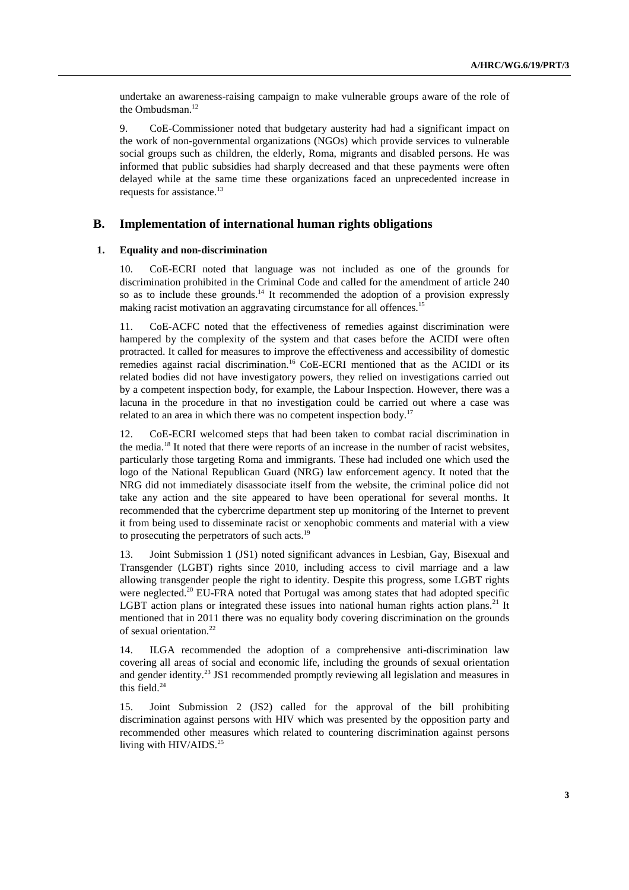undertake an awareness-raising campaign to make vulnerable groups aware of the role of the Ombudsman.<sup>12</sup>

9. CoE-Commissioner noted that budgetary austerity had had a significant impact on the work of non-governmental organizations (NGOs) which provide services to vulnerable social groups such as children, the elderly, Roma, migrants and disabled persons. He was informed that public subsidies had sharply decreased and that these payments were often delayed while at the same time these organizations faced an unprecedented increase in requests for assistance.<sup>13</sup>

#### **B. Implementation of international human rights obligations**

#### **1. Equality and non-discrimination**

10. CoE-ECRI noted that language was not included as one of the grounds for discrimination prohibited in the Criminal Code and called for the amendment of article 240 so as to include these grounds.<sup>14</sup> It recommended the adoption of a provision expressly making racist motivation an aggravating circumstance for all offences.<sup>15</sup>

11. CoE-ACFC noted that the effectiveness of remedies against discrimination were hampered by the complexity of the system and that cases before the ACIDI were often protracted. It called for measures to improve the effectiveness and accessibility of domestic remedies against racial discrimination.<sup>16</sup> CoE-ECRI mentioned that as the ACIDI or its related bodies did not have investigatory powers, they relied on investigations carried out by a competent inspection body, for example, the Labour Inspection. However, there was a lacuna in the procedure in that no investigation could be carried out where a case was related to an area in which there was no competent inspection body.<sup>17</sup>

12. CoE-ECRI welcomed steps that had been taken to combat racial discrimination in the media.<sup>18</sup> It noted that there were reports of an increase in the number of racist websites, particularly those targeting Roma and immigrants. These had included one which used the logo of the National Republican Guard (NRG) law enforcement agency. It noted that the NRG did not immediately disassociate itself from the website, the criminal police did not take any action and the site appeared to have been operational for several months. It recommended that the cybercrime department step up monitoring of the Internet to prevent it from being used to disseminate racist or xenophobic comments and material with a view to prosecuting the perpetrators of such acts.<sup>19</sup>

13. Joint Submission 1 (JS1) noted significant advances in Lesbian, Gay, Bisexual and Transgender (LGBT) rights since 2010, including access to civil marriage and a law allowing transgender people the right to identity. Despite this progress, some LGBT rights were neglected.<sup>20</sup> EU-FRA noted that Portugal was among states that had adopted specific LGBT action plans or integrated these issues into national human rights action plans.<sup>21</sup> It mentioned that in 2011 there was no equality body covering discrimination on the grounds of sexual orientation.22

14. ILGA recommended the adoption of a comprehensive anti-discrimination law covering all areas of social and economic life, including the grounds of sexual orientation and gender identity.<sup>23</sup> JS1 recommended promptly reviewing all legislation and measures in this field. $24$ 

15. Joint Submission 2 (JS2) called for the approval of the bill prohibiting discrimination against persons with HIV which was presented by the opposition party and recommended other measures which related to countering discrimination against persons living with  $HIV/AIDS.<sup>25</sup>$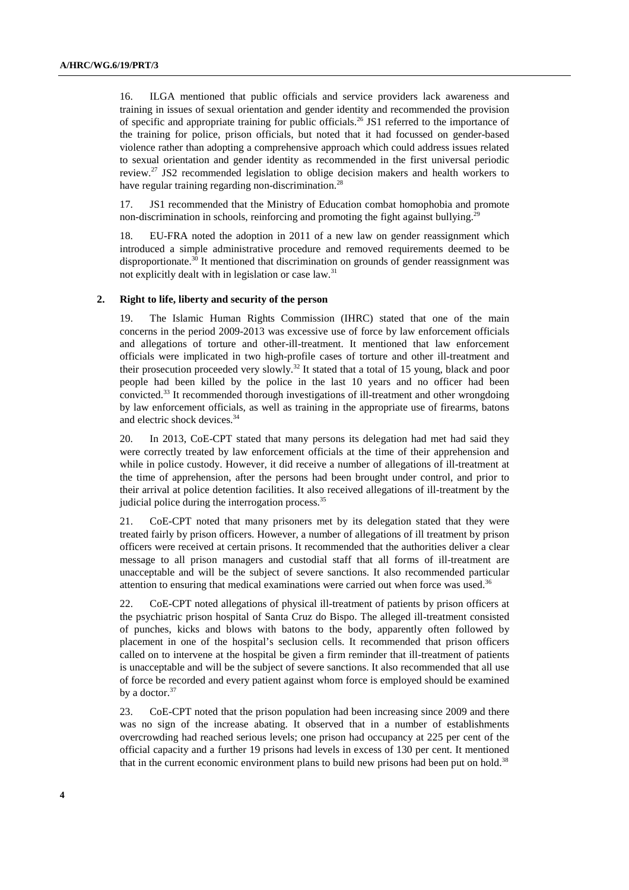16. ILGA mentioned that public officials and service providers lack awareness and training in issues of sexual orientation and gender identity and recommended the provision of specific and appropriate training for public officials.<sup>26</sup> JS1 referred to the importance of the training for police, prison officials, but noted that it had focussed on gender-based violence rather than adopting a comprehensive approach which could address issues related to sexual orientation and gender identity as recommended in the first universal periodic review.27 JS2 recommended legislation to oblige decision makers and health workers to have regular training regarding non-discrimination.<sup>28</sup>

17. JS1 recommended that the Ministry of Education combat homophobia and promote non-discrimination in schools, reinforcing and promoting the fight against bullying.<sup>29</sup>

18. EU-FRA noted the adoption in 2011 of a new law on gender reassignment which introduced a simple administrative procedure and removed requirements deemed to be disproportionate.<sup>30</sup> It mentioned that discrimination on grounds of gender reassignment was not explicitly dealt with in legislation or case law. $31$ 

#### **2. Right to life, liberty and security of the person**

19. The Islamic Human Rights Commission (IHRC) stated that one of the main concerns in the period 2009-2013 was excessive use of force by law enforcement officials and allegations of torture and other-ill-treatment. It mentioned that law enforcement officials were implicated in two high-profile cases of torture and other ill-treatment and their prosecution proceeded very slowly.<sup>32</sup> It stated that a total of 15 young, black and poor people had been killed by the police in the last 10 years and no officer had been convicted.33 It recommended thorough investigations of ill-treatment and other wrongdoing by law enforcement officials, as well as training in the appropriate use of firearms, batons and electric shock devices.<sup>34</sup>

20. In 2013, CoE-CPT stated that many persons its delegation had met had said they were correctly treated by law enforcement officials at the time of their apprehension and while in police custody. However, it did receive a number of allegations of ill-treatment at the time of apprehension, after the persons had been brought under control, and prior to their arrival at police detention facilities. It also received allegations of ill-treatment by the judicial police during the interrogation process.<sup>35</sup>

21. CoE-CPT noted that many prisoners met by its delegation stated that they were treated fairly by prison officers. However, a number of allegations of ill treatment by prison officers were received at certain prisons. It recommended that the authorities deliver a clear message to all prison managers and custodial staff that all forms of ill-treatment are unacceptable and will be the subject of severe sanctions. It also recommended particular attention to ensuring that medical examinations were carried out when force was used.<sup>36</sup>

22. CoE-CPT noted allegations of physical ill-treatment of patients by prison officers at the psychiatric prison hospital of Santa Cruz do Bispo. The alleged ill-treatment consisted of punches, kicks and blows with batons to the body, apparently often followed by placement in one of the hospital's seclusion cells. It recommended that prison officers called on to intervene at the hospital be given a firm reminder that ill-treatment of patients is unacceptable and will be the subject of severe sanctions. It also recommended that all use of force be recorded and every patient against whom force is employed should be examined by a doctor.<sup>37</sup>

23. CoE-CPT noted that the prison population had been increasing since 2009 and there was no sign of the increase abating. It observed that in a number of establishments overcrowding had reached serious levels; one prison had occupancy at 225 per cent of the official capacity and a further 19 prisons had levels in excess of 130 per cent. It mentioned that in the current economic environment plans to build new prisons had been put on hold.<sup>38</sup>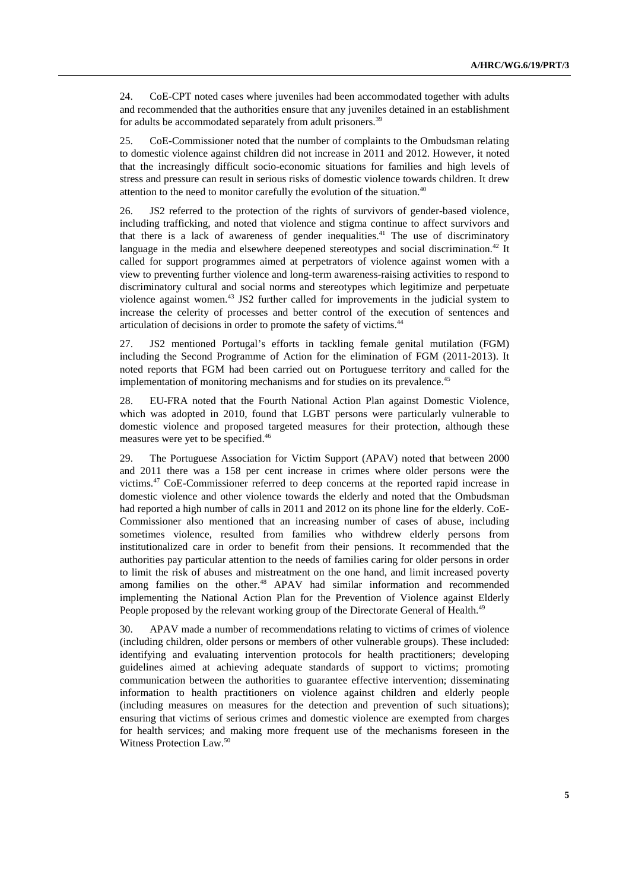24. CoE-CPT noted cases where juveniles had been accommodated together with adults and recommended that the authorities ensure that any juveniles detained in an establishment for adults be accommodated separately from adult prisoners.<sup>39</sup>

25. CoE-Commissioner noted that the number of complaints to the Ombudsman relating to domestic violence against children did not increase in 2011 and 2012. However, it noted that the increasingly difficult socio-economic situations for families and high levels of stress and pressure can result in serious risks of domestic violence towards children. It drew attention to the need to monitor carefully the evolution of the situation.<sup>40</sup>

26. JS2 referred to the protection of the rights of survivors of gender-based violence, including trafficking, and noted that violence and stigma continue to affect survivors and that there is a lack of awareness of gender inequalities.<sup>41</sup> The use of discriminatory language in the media and elsewhere deepened stereotypes and social discrimination.<sup>42</sup> It called for support programmes aimed at perpetrators of violence against women with a view to preventing further violence and long-term awareness-raising activities to respond to discriminatory cultural and social norms and stereotypes which legitimize and perpetuate violence against women.43 JS2 further called for improvements in the judicial system to increase the celerity of processes and better control of the execution of sentences and articulation of decisions in order to promote the safety of victims.44

27. JS2 mentioned Portugal's efforts in tackling female genital mutilation (FGM) including the Second Programme of Action for the elimination of FGM (2011-2013). It noted reports that FGM had been carried out on Portuguese territory and called for the implementation of monitoring mechanisms and for studies on its prevalence.<sup>45</sup>

28. EU-FRA noted that the Fourth National Action Plan against Domestic Violence, which was adopted in 2010, found that LGBT persons were particularly vulnerable to domestic violence and proposed targeted measures for their protection, although these measures were yet to be specified.<sup>46</sup>

29. The Portuguese Association for Victim Support (APAV) noted that between 2000 and 2011 there was a 158 per cent increase in crimes where older persons were the victims.47 CoE-Commissioner referred to deep concerns at the reported rapid increase in domestic violence and other violence towards the elderly and noted that the Ombudsman had reported a high number of calls in 2011 and 2012 on its phone line for the elderly. CoE-Commissioner also mentioned that an increasing number of cases of abuse, including sometimes violence, resulted from families who withdrew elderly persons from institutionalized care in order to benefit from their pensions. It recommended that the authorities pay particular attention to the needs of families caring for older persons in order to limit the risk of abuses and mistreatment on the one hand, and limit increased poverty among families on the other.<sup>48</sup> APAV had similar information and recommended implementing the National Action Plan for the Prevention of Violence against Elderly People proposed by the relevant working group of the Directorate General of Health.<sup>49</sup>

30. APAV made a number of recommendations relating to victims of crimes of violence (including children, older persons or members of other vulnerable groups). These included: identifying and evaluating intervention protocols for health practitioners; developing guidelines aimed at achieving adequate standards of support to victims; promoting communication between the authorities to guarantee effective intervention; disseminating information to health practitioners on violence against children and elderly people (including measures on measures for the detection and prevention of such situations); ensuring that victims of serious crimes and domestic violence are exempted from charges for health services; and making more frequent use of the mechanisms foreseen in the Witness Protection Law.<sup>50</sup>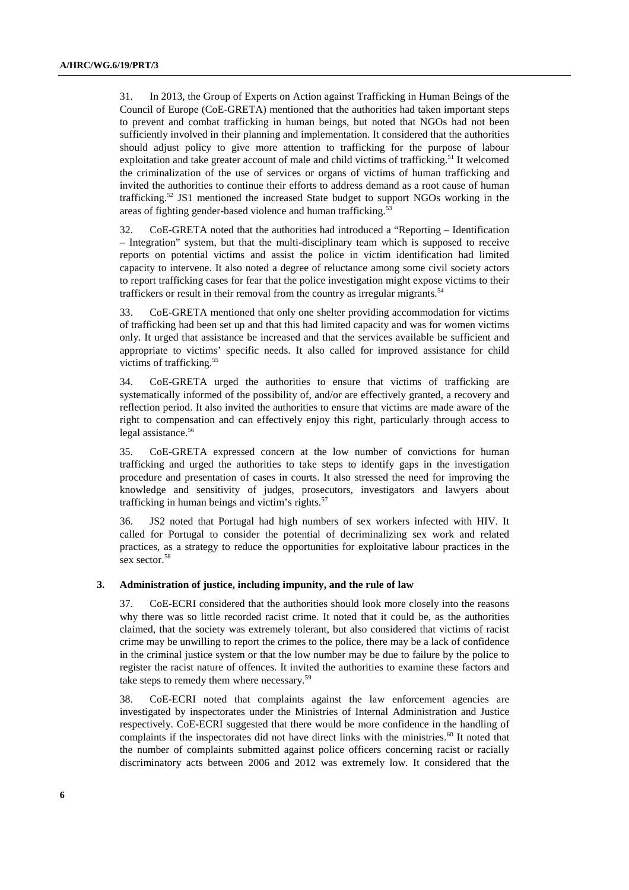31. In 2013, the Group of Experts on Action against Trafficking in Human Beings of the Council of Europe (CoE-GRETA) mentioned that the authorities had taken important steps to prevent and combat trafficking in human beings, but noted that NGOs had not been sufficiently involved in their planning and implementation. It considered that the authorities should adjust policy to give more attention to trafficking for the purpose of labour exploitation and take greater account of male and child victims of trafficking.<sup>51</sup> It welcomed the criminalization of the use of services or organs of victims of human trafficking and invited the authorities to continue their efforts to address demand as a root cause of human trafficking.52 JS1 mentioned the increased State budget to support NGOs working in the areas of fighting gender-based violence and human trafficking.<sup>53</sup>

32. CoE-GRETA noted that the authorities had introduced a "Reporting – Identification – Integration" system, but that the multi-disciplinary team which is supposed to receive reports on potential victims and assist the police in victim identification had limited capacity to intervene. It also noted a degree of reluctance among some civil society actors to report trafficking cases for fear that the police investigation might expose victims to their traffickers or result in their removal from the country as irregular migrants.<sup>54</sup>

33. CoE-GRETA mentioned that only one shelter providing accommodation for victims of trafficking had been set up and that this had limited capacity and was for women victims only. It urged that assistance be increased and that the services available be sufficient and appropriate to victims' specific needs. It also called for improved assistance for child victims of trafficking.<sup>55</sup>

34. CoE-GRETA urged the authorities to ensure that victims of trafficking are systematically informed of the possibility of, and/or are effectively granted, a recovery and reflection period. It also invited the authorities to ensure that victims are made aware of the right to compensation and can effectively enjoy this right, particularly through access to legal assistance.<sup>56</sup>

35. CoE-GRETA expressed concern at the low number of convictions for human trafficking and urged the authorities to take steps to identify gaps in the investigation procedure and presentation of cases in courts. It also stressed the need for improving the knowledge and sensitivity of judges, prosecutors, investigators and lawyers about trafficking in human beings and victim's rights. $57$ 

36. JS2 noted that Portugal had high numbers of sex workers infected with HIV. It called for Portugal to consider the potential of decriminalizing sex work and related practices, as a strategy to reduce the opportunities for exploitative labour practices in the sex sector.<sup>58</sup>

#### **3. Administration of justice, including impunity, and the rule of law**

37. CoE-ECRI considered that the authorities should look more closely into the reasons why there was so little recorded racist crime. It noted that it could be, as the authorities claimed, that the society was extremely tolerant, but also considered that victims of racist crime may be unwilling to report the crimes to the police, there may be a lack of confidence in the criminal justice system or that the low number may be due to failure by the police to register the racist nature of offences. It invited the authorities to examine these factors and take steps to remedy them where necessary.<sup>59</sup>

38. CoE-ECRI noted that complaints against the law enforcement agencies are investigated by inspectorates under the Ministries of Internal Administration and Justice respectively. CoE-ECRI suggested that there would be more confidence in the handling of complaints if the inspectorates did not have direct links with the ministries.<sup>60</sup> It noted that the number of complaints submitted against police officers concerning racist or racially discriminatory acts between 2006 and 2012 was extremely low. It considered that the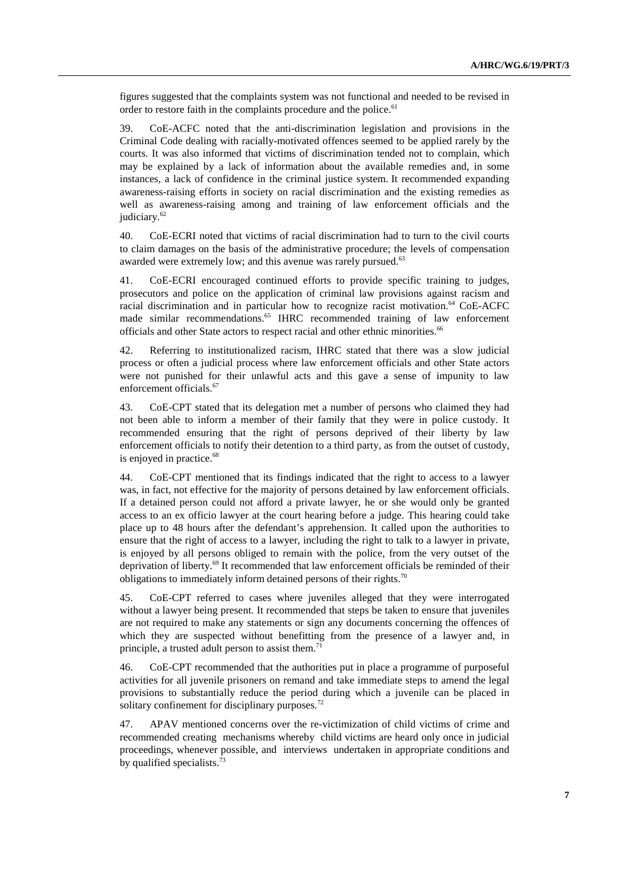figures suggested that the complaints system was not functional and needed to be revised in order to restore faith in the complaints procedure and the police.<sup>61</sup>

39. CoE-ACFC noted that the anti-discrimination legislation and provisions in the Criminal Code dealing with racially-motivated offences seemed to be applied rarely by the courts. It was also informed that victims of discrimination tended not to complain, which may be explained by a lack of information about the available remedies and, in some instances, a lack of confidence in the criminal justice system. It recommended expanding awareness-raising efforts in society on racial discrimination and the existing remedies as well as awareness-raising among and training of law enforcement officials and the judiciary.<sup>62</sup>

40. CoE-ECRI noted that victims of racial discrimination had to turn to the civil courts to claim damages on the basis of the administrative procedure; the levels of compensation awarded were extremely low; and this avenue was rarely pursued.<sup>63</sup>

41. CoE-ECRI encouraged continued efforts to provide specific training to judges, prosecutors and police on the application of criminal law provisions against racism and racial discrimination and in particular how to recognize racist motivation.<sup>64</sup> CoE-ACFC made similar recommendations.<sup>65</sup> IHRC recommended training of law enforcement officials and other State actors to respect racial and other ethnic minorities.<sup>66</sup>

42. Referring to institutionalized racism, IHRC stated that there was a slow judicial process or often a judicial process where law enforcement officials and other State actors were not punished for their unlawful acts and this gave a sense of impunity to law enforcement officials.<sup>67</sup>

43. CoE-CPT stated that its delegation met a number of persons who claimed they had not been able to inform a member of their family that they were in police custody. It recommended ensuring that the right of persons deprived of their liberty by law enforcement officials to notify their detention to a third party, as from the outset of custody, is enjoyed in practice.<sup>68</sup>

44. CoE-CPT mentioned that its findings indicated that the right to access to a lawyer was, in fact, not effective for the majority of persons detained by law enforcement officials. If a detained person could not afford a private lawyer, he or she would only be granted access to an ex officio lawyer at the court hearing before a judge. This hearing could take place up to 48 hours after the defendant's apprehension. It called upon the authorities to ensure that the right of access to a lawyer, including the right to talk to a lawyer in private, is enjoyed by all persons obliged to remain with the police, from the very outset of the deprivation of liberty.<sup>69</sup> It recommended that law enforcement officials be reminded of their obligations to immediately inform detained persons of their rights.<sup>70</sup>

45. CoE-CPT referred to cases where juveniles alleged that they were interrogated without a lawyer being present. It recommended that steps be taken to ensure that juveniles are not required to make any statements or sign any documents concerning the offences of which they are suspected without benefitting from the presence of a lawyer and, in principle, a trusted adult person to assist them.<sup>7</sup>

46. CoE-CPT recommended that the authorities put in place a programme of purposeful activities for all juvenile prisoners on remand and take immediate steps to amend the legal provisions to substantially reduce the period during which a juvenile can be placed in solitary confinement for disciplinary purposes.<sup>72</sup>

47. APAV mentioned concerns over the re-victimization of child victims of crime and recommended creating mechanisms whereby child victims are heard only once in judicial proceedings, whenever possible, and interviews undertaken in appropriate conditions and by qualified specialists.<sup>73</sup>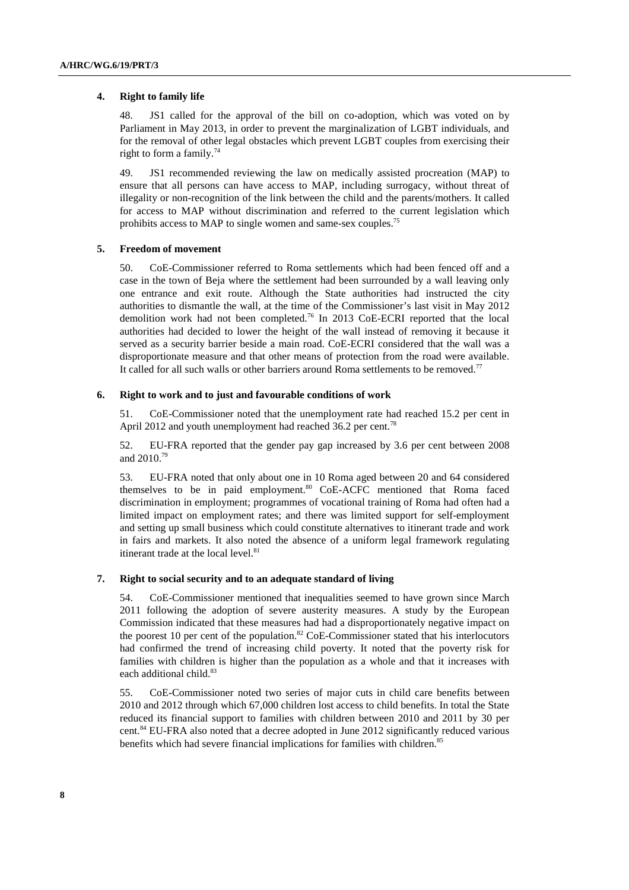#### **4. Right to family life**

48. JS1 called for the approval of the bill on co-adoption, which was voted on by Parliament in May 2013, in order to prevent the marginalization of LGBT individuals, and for the removal of other legal obstacles which prevent LGBT couples from exercising their right to form a family.<sup>74</sup>

49. JS1 recommended reviewing the law on medically assisted procreation (MAP) to ensure that all persons can have access to MAP, including surrogacy, without threat of illegality or non-recognition of the link between the child and the parents/mothers. It called for access to MAP without discrimination and referred to the current legislation which prohibits access to MAP to single women and same-sex couples.<sup>75</sup>

#### **5. Freedom of movement**

50. CoE-Commissioner referred to Roma settlements which had been fenced off and a case in the town of Beja where the settlement had been surrounded by a wall leaving only one entrance and exit route. Although the State authorities had instructed the city authorities to dismantle the wall, at the time of the Commissioner's last visit in May 2012 demolition work had not been completed.76 In 2013 CoE-ECRI reported that the local authorities had decided to lower the height of the wall instead of removing it because it served as a security barrier beside a main road. CoE-ECRI considered that the wall was a disproportionate measure and that other means of protection from the road were available. It called for all such walls or other barriers around Roma settlements to be removed.<sup>77</sup>

#### **6. Right to work and to just and favourable conditions of work**

51. CoE-Commissioner noted that the unemployment rate had reached 15.2 per cent in April 2012 and youth unemployment had reached 36.2 per cent.<sup>78</sup>

52. EU-FRA reported that the gender pay gap increased by 3.6 per cent between 2008 and 2010.79

53. EU-FRA noted that only about one in 10 Roma aged between 20 and 64 considered themselves to be in paid employment.<sup>80</sup>  $COE$ -ACFC mentioned that Roma faced discrimination in employment; programmes of vocational training of Roma had often had a limited impact on employment rates; and there was limited support for self-employment and setting up small business which could constitute alternatives to itinerant trade and work in fairs and markets. It also noted the absence of a uniform legal framework regulating itinerant trade at the local level. $81$ 

### **7. Right to social security and to an adequate standard of living**

54. CoE-Commissioner mentioned that inequalities seemed to have grown since March 2011 following the adoption of severe austerity measures. A study by the European Commission indicated that these measures had had a disproportionately negative impact on the poorest 10 per cent of the population.<sup>82</sup> CoE-Commissioner stated that his interlocutors had confirmed the trend of increasing child poverty. It noted that the poverty risk for families with children is higher than the population as a whole and that it increases with each additional child.<sup>83</sup>

55. CoE-Commissioner noted two series of major cuts in child care benefits between 2010 and 2012 through which 67,000 children lost access to child benefits. In total the State reduced its financial support to families with children between 2010 and 2011 by 30 per cent.<sup>84</sup> EU-FRA also noted that a decree adopted in June 2012 significantly reduced various benefits which had severe financial implications for families with children.<sup>85</sup>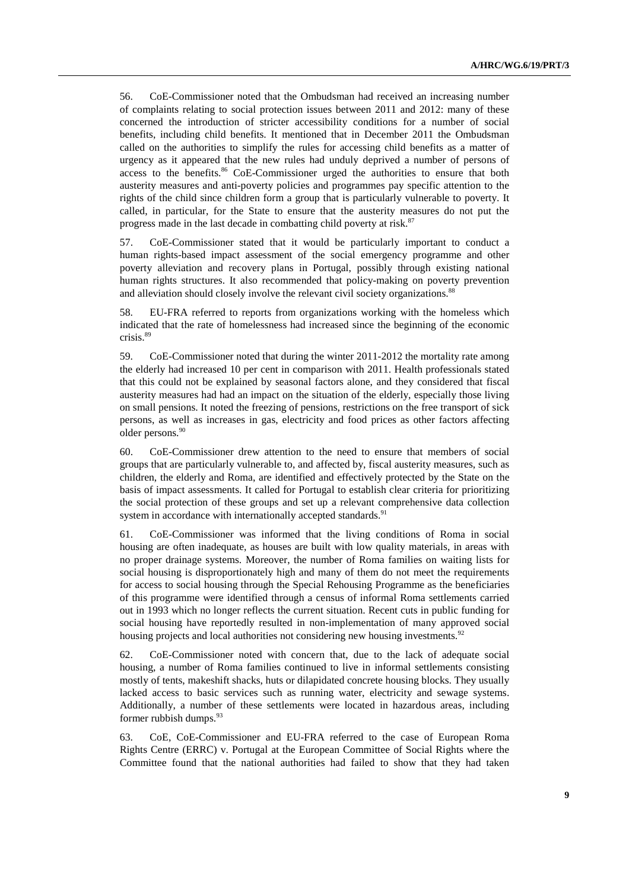56. CoE-Commissioner noted that the Ombudsman had received an increasing number of complaints relating to social protection issues between 2011 and 2012: many of these concerned the introduction of stricter accessibility conditions for a number of social benefits, including child benefits. It mentioned that in December 2011 the Ombudsman called on the authorities to simplify the rules for accessing child benefits as a matter of urgency as it appeared that the new rules had unduly deprived a number of persons of access to the benefits.<sup>86</sup> CoE-Commissioner urged the authorities to ensure that both austerity measures and anti-poverty policies and programmes pay specific attention to the rights of the child since children form a group that is particularly vulnerable to poverty. It called, in particular, for the State to ensure that the austerity measures do not put the progress made in the last decade in combatting child poverty at risk.<sup>87</sup>

57. CoE-Commissioner stated that it would be particularly important to conduct a human rights-based impact assessment of the social emergency programme and other poverty alleviation and recovery plans in Portugal, possibly through existing national human rights structures. It also recommended that policy-making on poverty prevention and alleviation should closely involve the relevant civil society organizations.<sup>88</sup>

58. EU-FRA referred to reports from organizations working with the homeless which indicated that the rate of homelessness had increased since the beginning of the economic crisis.<sup>89</sup>

59. CoE-Commissioner noted that during the winter 2011-2012 the mortality rate among the elderly had increased 10 per cent in comparison with 2011. Health professionals stated that this could not be explained by seasonal factors alone, and they considered that fiscal austerity measures had had an impact on the situation of the elderly, especially those living on small pensions. It noted the freezing of pensions, restrictions on the free transport of sick persons, as well as increases in gas, electricity and food prices as other factors affecting older persons.<sup>90</sup>

60. CoE-Commissioner drew attention to the need to ensure that members of social groups that are particularly vulnerable to, and affected by, fiscal austerity measures, such as children, the elderly and Roma, are identified and effectively protected by the State on the basis of impact assessments. It called for Portugal to establish clear criteria for prioritizing the social protection of these groups and set up a relevant comprehensive data collection system in accordance with internationally accepted standards.<sup>91</sup>

61. CoE-Commissioner was informed that the living conditions of Roma in social housing are often inadequate, as houses are built with low quality materials, in areas with no proper drainage systems. Moreover, the number of Roma families on waiting lists for social housing is disproportionately high and many of them do not meet the requirements for access to social housing through the Special Rehousing Programme as the beneficiaries of this programme were identified through a census of informal Roma settlements carried out in 1993 which no longer reflects the current situation. Recent cuts in public funding for social housing have reportedly resulted in non-implementation of many approved social housing projects and local authorities not considering new housing investments.<sup>92</sup>

62. CoE-Commissioner noted with concern that, due to the lack of adequate social housing, a number of Roma families continued to live in informal settlements consisting mostly of tents, makeshift shacks, huts or dilapidated concrete housing blocks. They usually lacked access to basic services such as running water, electricity and sewage systems. Additionally, a number of these settlements were located in hazardous areas, including former rubbish dumps.<sup>93</sup>

63. CoE, CoE-Commissioner and EU-FRA referred to the case of European Roma Rights Centre (ERRC) v. Portugal at the European Committee of Social Rights where the Committee found that the national authorities had failed to show that they had taken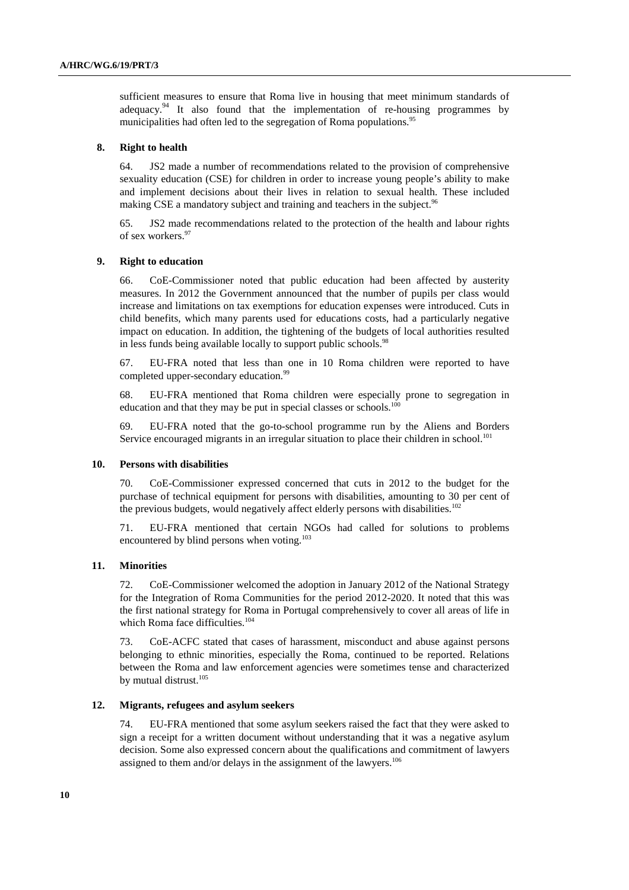sufficient measures to ensure that Roma live in housing that meet minimum standards of adequacy.<sup>94</sup> It also found that the implementation of re-housing programmes by municipalities had often led to the segregation of Roma populations.<sup>95</sup>

#### **8. Right to health**

64. JS2 made a number of recommendations related to the provision of comprehensive sexuality education (CSE) for children in order to increase young people's ability to make and implement decisions about their lives in relation to sexual health. These included making CSE a mandatory subject and training and teachers in the subject.<sup>96</sup>

65. JS2 made recommendations related to the protection of the health and labour rights of sex workers.<sup>97</sup>

#### **9. Right to education**

66. CoE-Commissioner noted that public education had been affected by austerity measures. In 2012 the Government announced that the number of pupils per class would increase and limitations on tax exemptions for education expenses were introduced. Cuts in child benefits, which many parents used for educations costs, had a particularly negative impact on education. In addition, the tightening of the budgets of local authorities resulted in less funds being available locally to support public schools.<sup>98</sup>

67. EU-FRA noted that less than one in 10 Roma children were reported to have completed upper-secondary education.<sup>99</sup>

68. EU-FRA mentioned that Roma children were especially prone to segregation in education and that they may be put in special classes or schools.<sup>100</sup>

69. EU-FRA noted that the go-to-school programme run by the Aliens and Borders Service encouraged migrants in an irregular situation to place their children in school.<sup>101</sup>

#### **10. Persons with disabilities**

70. CoE-Commissioner expressed concerned that cuts in 2012 to the budget for the purchase of technical equipment for persons with disabilities, amounting to 30 per cent of the previous budgets, would negatively affect elderly persons with disabilities.<sup>102</sup>

71. EU-FRA mentioned that certain NGOs had called for solutions to problems encountered by blind persons when voting. $103$ 

#### **11. Minorities**

72. CoE-Commissioner welcomed the adoption in January 2012 of the National Strategy for the Integration of Roma Communities for the period 2012-2020. It noted that this was the first national strategy for Roma in Portugal comprehensively to cover all areas of life in which Roma face difficulties.<sup>104</sup>

73. CoE-ACFC stated that cases of harassment, misconduct and abuse against persons belonging to ethnic minorities, especially the Roma, continued to be reported. Relations between the Roma and law enforcement agencies were sometimes tense and characterized by mutual distrust.<sup>105</sup>

#### **12. Migrants, refugees and asylum seekers**

74. EU-FRA mentioned that some asylum seekers raised the fact that they were asked to sign a receipt for a written document without understanding that it was a negative asylum decision. Some also expressed concern about the qualifications and commitment of lawyers assigned to them and/or delays in the assignment of the lawyers.<sup>106</sup>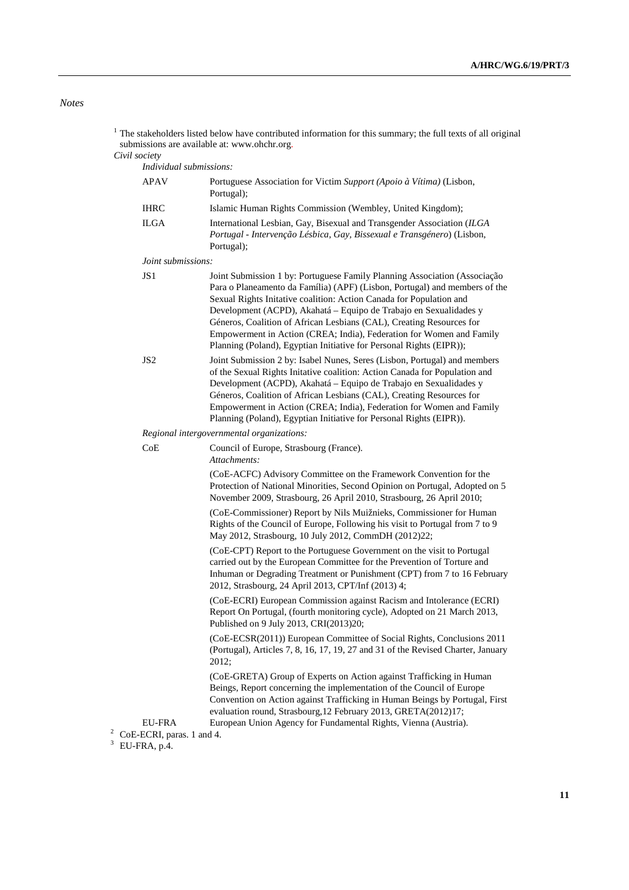## *Notes*

|                                                     | The stakeholders listed below have contributed information for this summary; the full texts of all original<br>submissions are available at: www.ohchr.org.                                                                                                                                                                                                                                                                                                                                                                |
|-----------------------------------------------------|----------------------------------------------------------------------------------------------------------------------------------------------------------------------------------------------------------------------------------------------------------------------------------------------------------------------------------------------------------------------------------------------------------------------------------------------------------------------------------------------------------------------------|
| Civil society                                       |                                                                                                                                                                                                                                                                                                                                                                                                                                                                                                                            |
| <b>APAV</b>                                         | Individual submissions:<br>Portuguese Association for Victim Support (Apoio à Vítima) (Lisbon,                                                                                                                                                                                                                                                                                                                                                                                                                             |
|                                                     | Portugal);                                                                                                                                                                                                                                                                                                                                                                                                                                                                                                                 |
| <b>IHRC</b><br><b>ILGA</b>                          | Islamic Human Rights Commission (Wembley, United Kingdom);                                                                                                                                                                                                                                                                                                                                                                                                                                                                 |
|                                                     | International Lesbian, Gay, Bisexual and Transgender Association (ILGA<br>Portugal - Intervenção Lésbica, Gay, Bissexual e Transgénero) (Lisbon,<br>Portugal);                                                                                                                                                                                                                                                                                                                                                             |
| Joint submissions:                                  |                                                                                                                                                                                                                                                                                                                                                                                                                                                                                                                            |
| JS <sub>1</sub>                                     | Joint Submission 1 by: Portuguese Family Planning Association (Associação<br>Para o Planeamento da Família) (APF) (Lisbon, Portugal) and members of the<br>Sexual Rights Initative coalition: Action Canada for Population and<br>Development (ACPD), Akahatá - Equipo de Trabajo en Sexualidades y<br>Géneros, Coalition of African Lesbians (CAL), Creating Resources for<br>Empowerment in Action (CREA; India), Federation for Women and Family<br>Planning (Poland), Egyptian Initiative for Personal Rights (EIPR)); |
| JS <sub>2</sub>                                     | Joint Submission 2 by: Isabel Nunes, Seres (Lisbon, Portugal) and members<br>of the Sexual Rights Initative coalition: Action Canada for Population and<br>Development (ACPD), Akahatá – Equipo de Trabajo en Sexualidades y<br>Géneros, Coalition of African Lesbians (CAL), Creating Resources for<br>Empowerment in Action (CREA; India), Federation for Women and Family<br>Planning (Poland), Egyptian Initiative for Personal Rights (EIPR)).                                                                        |
|                                                     | Regional intergovernmental organizations:                                                                                                                                                                                                                                                                                                                                                                                                                                                                                  |
| CoE                                                 | Council of Europe, Strasbourg (France).<br>Attachments:                                                                                                                                                                                                                                                                                                                                                                                                                                                                    |
|                                                     | (CoE-ACFC) Advisory Committee on the Framework Convention for the<br>Protection of National Minorities, Second Opinion on Portugal, Adopted on 5<br>November 2009, Strasbourg, 26 April 2010, Strasbourg, 26 April 2010;                                                                                                                                                                                                                                                                                                   |
|                                                     | (CoE-Commissioner) Report by Nils Muižnieks, Commissioner for Human<br>Rights of the Council of Europe, Following his visit to Portugal from 7 to 9<br>May 2012, Strasbourg, 10 July 2012, CommDH (2012)22;                                                                                                                                                                                                                                                                                                                |
|                                                     | (CoE-CPT) Report to the Portuguese Government on the visit to Portugal<br>carried out by the European Committee for the Prevention of Torture and<br>Inhuman or Degrading Treatment or Punishment (CPT) from 7 to 16 February<br>2012, Strasbourg, 24 April 2013, CPT/Inf (2013) 4;                                                                                                                                                                                                                                        |
|                                                     | (CoE-ECRI) European Commission against Racism and Intolerance (ECRI)<br>Report On Portugal, (fourth monitoring cycle), Adopted on 21 March 2013,<br>Published on 9 July 2013, CRI(2013)20;                                                                                                                                                                                                                                                                                                                                 |
|                                                     | (CoE-ECSR(2011)) European Committee of Social Rights, Conclusions 2011<br>(Portugal), Articles 7, 8, 16, 17, 19, 27 and 31 of the Revised Charter, January<br>2012;                                                                                                                                                                                                                                                                                                                                                        |
|                                                     | (CoE-GRETA) Group of Experts on Action against Trafficking in Human<br>Beings, Report concerning the implementation of the Council of Europe<br>Convention on Action against Trafficking in Human Beings by Portugal, First<br>evaluation round, Strasbourg, 12 February 2013, GRETA(2012)17;                                                                                                                                                                                                                              |
| EU-FRA                                              | European Union Agency for Fundamental Rights, Vienna (Austria).                                                                                                                                                                                                                                                                                                                                                                                                                                                            |
| 2<br>CoE-ECRI, paras. 1 and 4.<br>3<br>EU-FRA, p.4. |                                                                                                                                                                                                                                                                                                                                                                                                                                                                                                                            |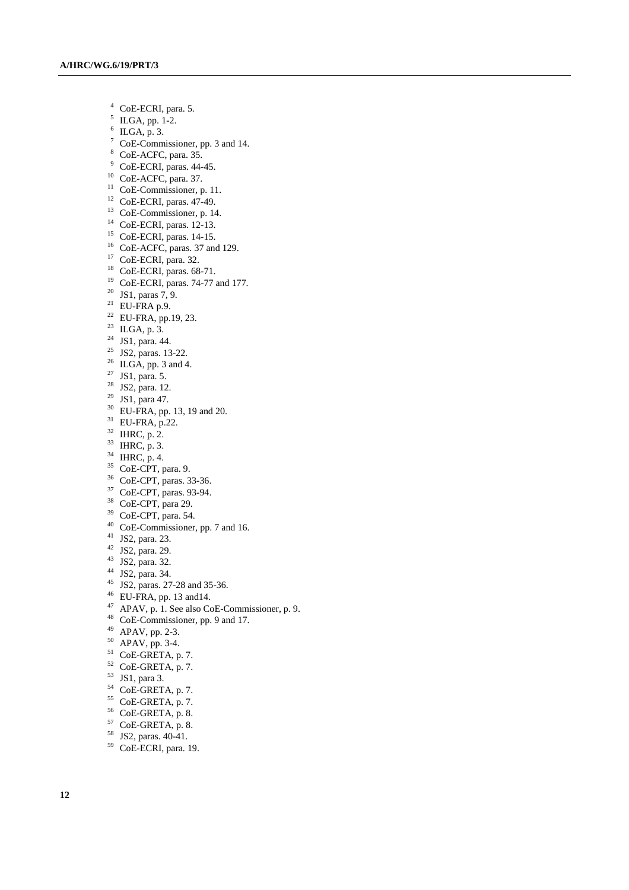- 4 CoE-ECRI, para. 5.
- $^5$  ILGA, pp. 1-2.
- $6$  ILGA, p. 3.
- 7 CoE-Commissioner, pp. 3 and 14.
- 8 CoE-ACFC, para. 35.
- <sup>9</sup> CoE-ECRI, paras. 44-45.
- 10 CoE-ACFC, para. 37.
- <sup>11</sup> CoE-Commissioner, p. 11.
- 12 CoE-ECRI, paras. 47-49.
- <sup>13</sup> CoE-Commissioner, p. 14.
- 14 CoE-ECRI, paras. 12-13.
- 15 CoE-ECRI, paras. 14-15.
- <sup>16</sup> CoE-ACFC, paras. 37 and 129.
- 17 CoE-ECRI, para. 32.
- 18 CoE-ECRI, paras. 68-71.
- 19 CoE-ECRI, paras. 74-77 and 177.
- <sup>20</sup> JS1, paras  $7, 9$ .
- $21$  EU-FRA p.9.
- $22$  EU-FRA, pp.19, 23.
- $^{23}$  ILGA, p. 3.
- 24 JS1, para. 44.
- 25 JS2, paras. 13-22.
- $^{26}$  ILGA, pp. 3 and 4.
- 27 JS1, para. 5.
- 28 JS2, para. 12.
- 29 JS1, para 47.
- 30 EU-FRA, pp. 13, 19 and 20.
- 31 EU-FRA, p.22.
- $32$  IHRC, p. 2.
- $^{33}$  IHRC, p. 3.
- $34$  IHRC, p. 4.
- 35 CoE-CPT, para. 9.
- 36 CoE-CPT, paras. 33-36.
- 37 CoE-CPT, paras. 93-94.
- 38 CoE-CPT, para 29.
- 39 CoE-CPT, para. 54.
- 40 CoE-Commissioner, pp. 7 and 16.
- 41 JS2, para. 23.
- 42 JS2, para. 29.
- 43 JS2, para. 32.
- 44 JS2, para. 34.
- 
- 45 JS2, paras. 27-28 and 35-36.
- $46$  EU-FRA, pp. 13 and 14.
- $^{47}$  APAV, p. 1. See also CoE-Commissioner, p. 9.
- 48 CoE-Commissioner, pp. 9 and 17.
- 49 APAV, pp. 2-3.
- 50 APAV, pp. 3-4.
- $51$  CoE-GRETA, p. 7.
- 52 CoE-GRETA, p. 7.
- 53 JS1, para 3.
- 54 CoE-GRETA, p. 7.
- 55 CoE-GRETA, p. 7.
- 56 CoE-GRETA, p. 8.
- 57 CoE-GRETA, p. 8.
- 58 JS2, paras. 40-41.
- 59 CoE-ECRI, para. 19.